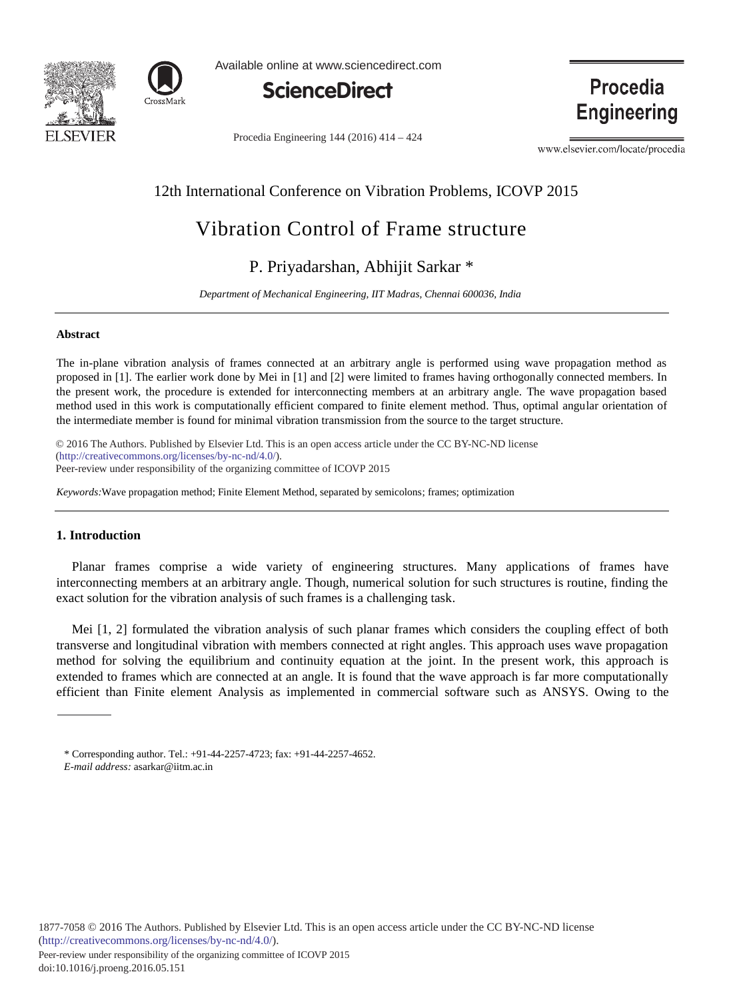



Available online at www.sciencedirect.com



Procedia Engineering 144 (2016) 414 - 424

Procedia **Engineering** 

www.elsevier.com/locate/procedia

# 12th International Conference on Vibration Problems, ICOVP 2015

# Vibration Control of Frame structure

# P. Priyadarshan, Abhijit Sarkar \*

*Department of Mechanical Engineering, IIT Madras, Chennai 600036, India* 

## **Abstract**

The in-plane vibration analysis of frames connected at an arbitrary angle is performed using wave propagation method as proposed in [1]. The earlier work done by Mei in [1] and [2] were limited to frames having orthogonally connected members. In the present work, the procedure is extended for interconnecting members at an arbitrary angle. The wave propagation based method used in this work is computationally efficient compared to finite element method. Thus, optimal angular orientation of the intermediate member is found for minimal vibration transmission from the source to the target structure.

© 2016 The Authors. Published by Elsevier Ltd. (http://creativecommons.org/licenses/by-nc-nd/4.0/). Peer-review under responsibility of the organizing committee of ICOVP 2015. Peer-review under responsibility of the organizing committee of ICOVP 2015© 2016 The Authors. Published by Elsevier Ltd. This is an open access article under the CC BY-NC-ND license

*Keywords:*Wave propagation method; Finite Element Method, separated by semicolons; frames; optimization

# **1. Introduction**

Planar frames comprise a wide variety of engineering structures. Many applications of frames have interconnecting members at an arbitrary angle. Though, numerical solution for such structures is routine, finding the exact solution for the vibration analysis of such frames is a challenging task.

Mei [1, 2] formulated the vibration analysis of such planar frames which considers the coupling effect of both transverse and longitudinal vibration with members connected at right angles. This approach uses wave propagation method for solving the equilibrium and continuity equation at the joint. In the present work, this approach is extended to frames which are connected at an angle. It is found that the wave approach is far more computationally efficient than Finite element Analysis as implemented in commercial software such as ANSYS. Owing to the

*E-mail address:* asarkar@iitm.ac.in

<sup>\*</sup> Corresponding author. Tel.: +91-44-2257-4723; fax: +91-44-2257-4652.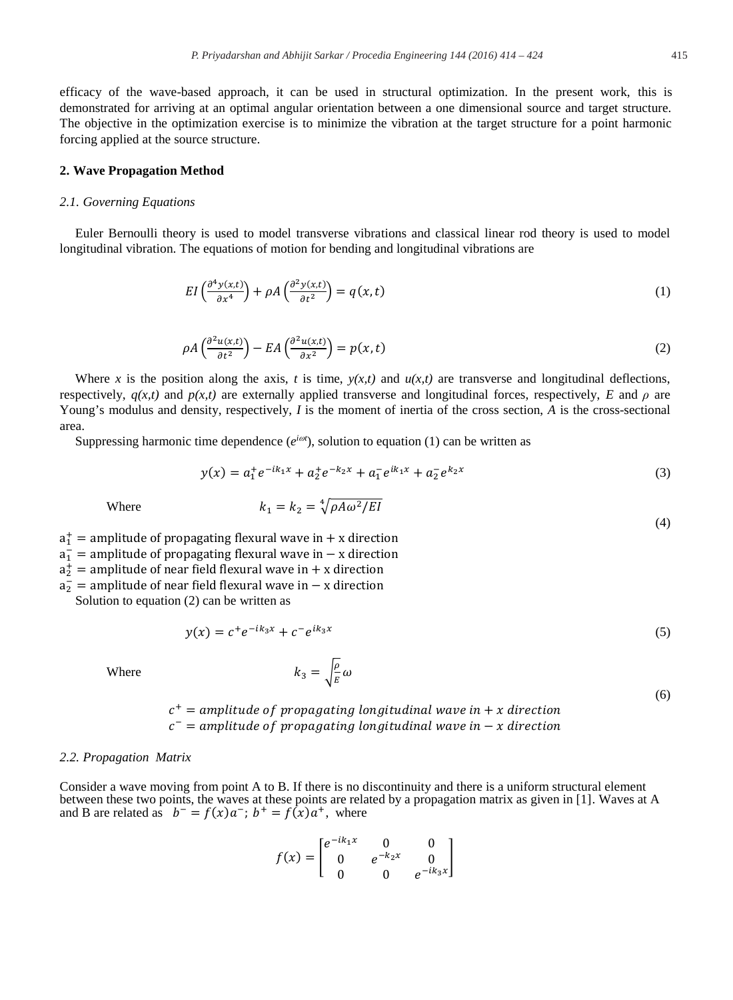efficacy of the wave-based approach, it can be used in structural optimization. In the present work, this is demonstrated for arriving at an optimal angular orientation between a one dimensional source and target structure. The objective in the optimization exercise is to minimize the vibration at the target structure for a point harmonic forcing applied at the source structure.

# **2. Wave Propagation Method**

# *2.1. Governing Equations*

Euler Bernoulli theory is used to model transverse vibrations and classical linear rod theory is used to model longitudinal vibration. The equations of motion for bending and longitudinal vibrations are

$$
EI\left(\frac{\partial^4 y(x,t)}{\partial x^4}\right) + \rho A\left(\frac{\partial^2 y(x,t)}{\partial t^2}\right) = q(x,t)
$$
\n(1)

$$
\rho A \left( \frac{\partial^2 u(x,t)}{\partial t^2} \right) - EA \left( \frac{\partial^2 u(x,t)}{\partial x^2} \right) = p(x,t) \tag{2}
$$

Where *x* is the position along the axis, *t* is time,  $y(x,t)$  and  $u(x,t)$  are transverse and longitudinal deflections, respectively,  $q(x,t)$  and  $p(x,t)$  are externally applied transverse and longitudinal forces, respectively, *E* and  $\rho$  are Young's modulus and density, respectively, *I* is the moment of inertia of the cross section, *A* is the cross-sectional area.

Suppressing harmonic time dependence  $(e^{i\omega t})$ , solution to equation (1) can be written as

$$
y(x) = a_1^+ e^{-ik_1 x} + a_2^+ e^{-k_2 x} + a_1^- e^{ik_1 x} + a_2^- e^{k_2 x}
$$
 (3)

Where 
$$
k_1 = k_2 = \sqrt[4]{\rho A \omega^2 / EI}
$$
 (4)

 $a_1^+$  = amplitude of propagating flexural wave in + x direction

 $a_1^-$  = amplitude of propagating flexural wave in  $-$  x direction

 $a_2^+$  = amplitude of near field flexural wave in + x direction

 $a_2^-$  = amplitude of near field flexural wave in  $-$  x direction

Solution to equation (2) can be written as

$$
y(x) = c^+ e^{-ik_3 x} + c^- e^{ik_3 x} \tag{5}
$$

Where  $k_3 = \sqrt{\frac{\rho}{E}} \omega$ 

$$
c^+
$$
 = amplitude of propagating longitudinal wave in + x direction  
 $c^-$  = amplitude of propagating longitudinal wave in - x direction

#### *2.2. Propagation Matrix*

Consider a wave moving from point A to B. If there is no discontinuity and there is a uniform structural element between these two points, the waves at these points are related by a propagation matrix as given in [1]. Waves at A and B are related as  $b^- = f(x)a^-$ ;  $b^+ = f(x)a^+$ , where

$$
f(x) = \begin{bmatrix} e^{-ik_1x} & 0 & 0\\ 0 & e^{-k_2x} & 0\\ 0 & 0 & e^{-ik_3x} \end{bmatrix}
$$

(6)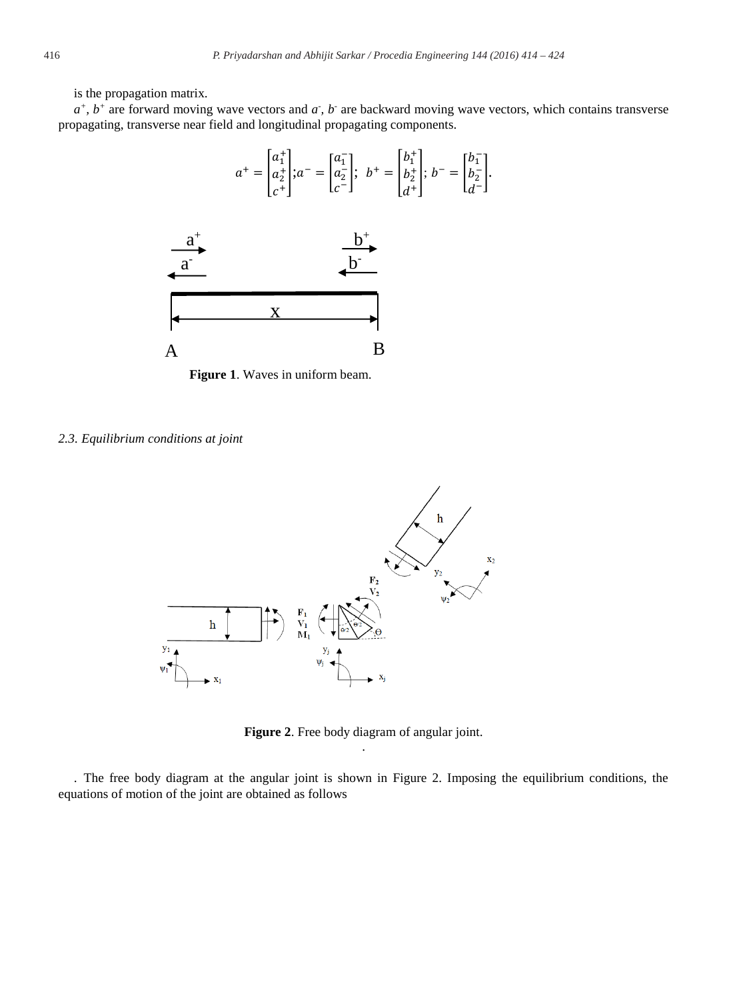is the propagation matrix.

 $a^+$ ,  $b^+$  are forward moving wave vectors and  $a$ ,  $b^-$  are backward moving wave vectors, which contains transverse propagating, transverse near field and longitudinal propagating components.



**Figure 1**. Waves in uniform beam.

#### *2.3. Equilibrium conditions at joint*



**Figure 2**. Free body diagram of angular joint. .

. The free body diagram at the angular joint is shown in Figure 2. Imposing the equilibrium conditions, the equations of motion of the joint are obtained as follows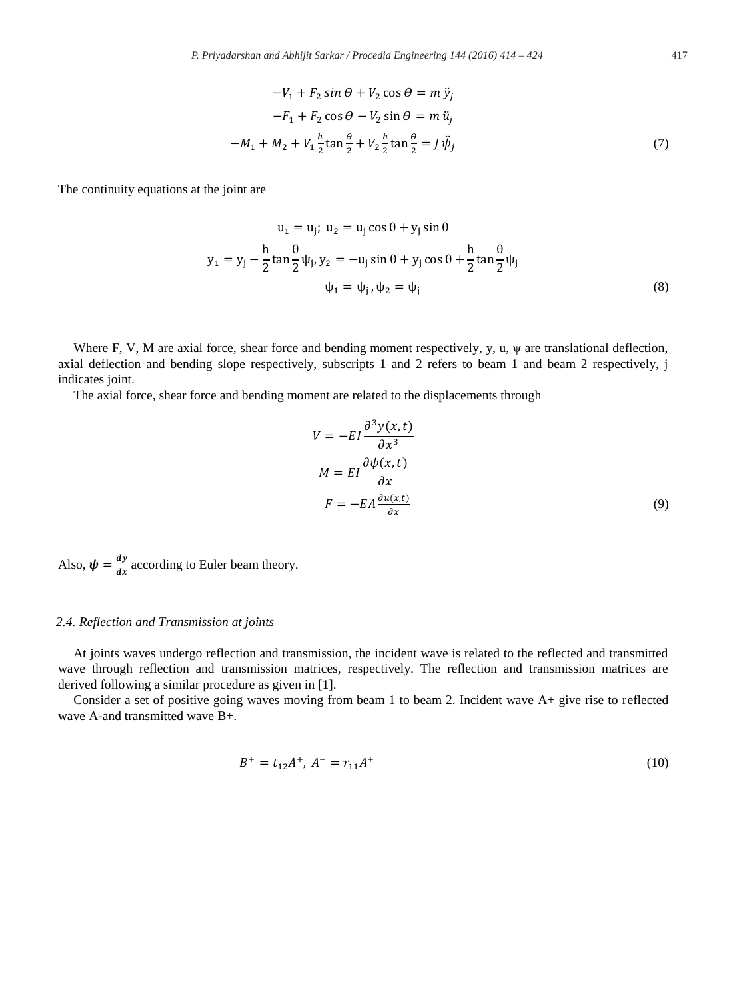$$
-V_1 + F_2 \sin \theta + V_2 \cos \theta = m \ddot{y}_j
$$
  

$$
-F_1 + F_2 \cos \theta - V_2 \sin \theta = m \ddot{u}_j
$$
  

$$
-M_1 + M_2 + V_1 \frac{\hbar}{2} \tan \frac{\theta}{2} + V_2 \frac{\hbar}{2} \tan \frac{\theta}{2} = J \ddot{\psi}_j
$$
 (7)

The continuity equations at the joint are

$$
u_1 = u_j; u_2 = u_j \cos \theta + y_j \sin \theta
$$
  

$$
y_1 = y_j - \frac{h}{2} \tan \frac{\theta}{2} \psi_j, y_2 = -u_j \sin \theta + y_j \cos \theta + \frac{h}{2} \tan \frac{\theta}{2} \psi_j
$$
  

$$
\psi_1 = \psi_j, \psi_2 = \psi_j
$$
 (8)

Where F, V, M are axial force, shear force and bending moment respectively, y, u,  $\psi$  are translational deflection, axial deflection and bending slope respectively, subscripts 1 and 2 refers to beam 1 and beam 2 respectively, j indicates joint.

The axial force, shear force and bending moment are related to the displacements through

$$
V = -EI \frac{\partial^3 y(x, t)}{\partial x^3}
$$
  

$$
M = EI \frac{\partial \psi(x, t)}{\partial x}
$$
  

$$
F = -EA \frac{\partial u(x, t)}{\partial x}
$$
 (9)

Also,  $\psi = \frac{dy}{dx}$  according to Euler beam theory.

# *2.4. Reflection and Transmission at joints*

At joints waves undergo reflection and transmission, the incident wave is related to the reflected and transmitted wave through reflection and transmission matrices, respectively. The reflection and transmission matrices are derived following a similar procedure as given in [1].

Consider a set of positive going waves moving from beam 1 to beam 2. Incident wave A+ give rise to reflected wave A-and transmitted wave B+.

$$
B^{+} = t_{12}A^{+}, A^{-} = r_{11}A^{+}
$$
 (10)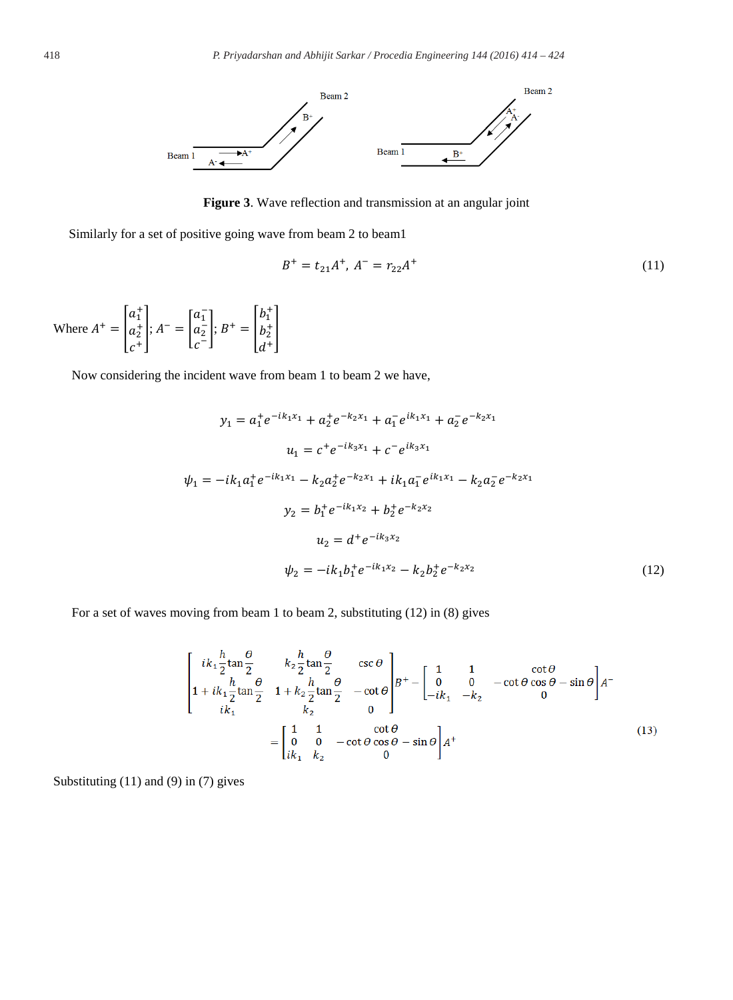

**Figure 3**. Wave reflection and transmission at an angular joint

Similarly for a set of positive going wave from beam 2 to beam1

$$
B^{+} = t_{21}A^{+}, A^{-} = r_{22}A^{+}
$$
 (11)

Where  $A^+ = \begin{bmatrix} a_1^+ \\ a_2^+ \end{bmatrix}$  $a_2^+$  $c^+$  $\Bigg|; A^- = \begin{bmatrix} a_1^- \\ a_2^- \end{bmatrix}$  $a_2^$  $c^ \Big\vert ; B^+ = \Big\vert \begin{matrix} b_1^+ \\ b_2^+ \end{matrix} \Big\vert$  $b_2^+$  $d^+$  $\overline{\phantom{a}}$ 

Now considering the incident wave from beam 1 to beam 2 we have,

$$
y_1 = a_1^+ e^{-ik_1x_1} + a_2^+ e^{-k_2x_1} + a_1^- e^{ik_1x_1} + a_2^- e^{-k_2x_1}
$$
  
\n
$$
u_1 = c^+ e^{-ik_3x_1} + c^- e^{ik_3x_1}
$$
  
\n
$$
\psi_1 = -ik_1 a_1^+ e^{-ik_1x_1} - k_2 a_2^+ e^{-k_2x_1} + ik_1 a_1^- e^{ik_1x_1} - k_2 a_2^- e^{-k_2x_1}
$$
  
\n
$$
y_2 = b_1^+ e^{-ik_1x_2} + b_2^+ e^{-k_2x_2}
$$
  
\n
$$
u_2 = d^+ e^{-ik_3x_2}
$$
  
\n
$$
\psi_2 = -ik_1 b_1^+ e^{-ik_1x_2} - k_2 b_2^+ e^{-k_2x_2}
$$
\n(12)

For a set of waves moving from beam 1 to beam 2, substituting (12) in (8) gives

$$
\begin{bmatrix}\nik_1 \frac{h}{2} \tan \frac{\theta}{2} & k_2 \frac{h}{2} \tan \frac{\theta}{2} & \csc \theta \\
1 + ik_1 \frac{h}{2} \tan \frac{\theta}{2} & 1 + k_2 \frac{h}{2} \tan \frac{\theta}{2} & -\cot \theta \\
ik_1 & k_2 & 0\n\end{bmatrix} B^+ - \begin{bmatrix}\n1 & 1 & \cot \theta \\
0 & 0 & -\cot \theta \cos \theta - \sin \theta \\
-ik_1 & -k_2 & 0\n\end{bmatrix} A^-
$$
\n
$$
= \begin{bmatrix}\n1 & 1 & \cot \theta \\
0 & 0 & -\cot \theta \cos \theta - \sin \theta \\
ik_1 & k_2 & 0\n\end{bmatrix} A^+ \tag{13}
$$

Substituting (11) and (9) in (7) gives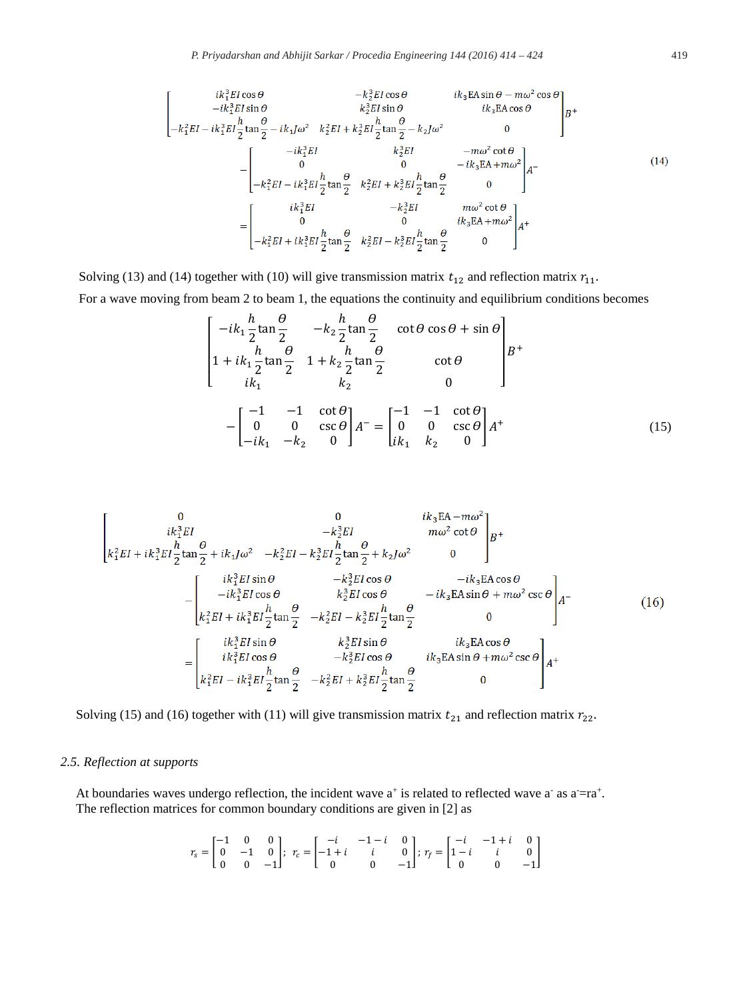$$
\begin{bmatrix}\ni k_1^3EI\cos\theta & -k_2^3EI\cos\theta & i k_3EA\sin\theta - m\omega^2\cos\theta \\
-ik_1^3EI\sin\theta & k_2^3EI\sin\theta & i k_3EA\cos\theta \\
-k_1^2EI - ik_1^3EI\frac{h}{2}\tan\frac{\theta}{2} - ik_1J\omega^2 & k_2^2EI + k_2^3EI\frac{h}{2}\tan\frac{\theta}{2} - k_2J\omega^2 & 0\n\end{bmatrix}B^+\n\begin{bmatrix}\ni k_1^3EI & k_2^3EI & -m\omega^2\cot\theta \\
0 & 0 & -ik_3EA + m\omega^2 \\
-k_1^2EI - ik_1^3EI\frac{h}{2}\tan\frac{\theta}{2} & k_2^2EI + k_2^3EI\frac{h}{2}\tan\frac{\theta}{2} & 0\n\end{bmatrix}A^-\n\begin{bmatrix}\ni k_1^3EI & -k_2^3EI & m\omega^2\cot\theta \\
0 & 0 & i k_3EA + m\omega^2 \\
-k_1^2EI + ik_1^3EI\frac{h}{2}\tan\frac{\theta}{2} & k_2^2EI - k_2^3EI\frac{h}{2}\tan\frac{\theta}{2} & 0\n\end{bmatrix}A^+\n\begin{bmatrix}\ni k_1^3EI & -k_1^3EI & m\omega^2\cot\theta \\
0 & 0 & i k_3EA + m\omega^2 \\
-k_1^2EI + ik_1^3EI\frac{h}{2}\tan\frac{\theta}{2} & k_2^2EI - k_2^3EI\frac{h}{2}\tan\frac{\theta}{2} & 0\n\end{bmatrix}A^+\n\begin{bmatrix}\ni k_1^3EI & -k_1^3EI & -k_1^3EI & -k_1^3EI & -k_1^3EI & -k_1^3EI & -k_1^3EI & -k_1^3EI & -k_1^3EI & -k_1^3EI & -k_1^3EI & -k_1^3EI & -k_1^3EI & -k_1^3EI & -k_1^3EI & -k_1^3EI & -k_1^3EI & -k_1^3EI & -k_1^3EI & -k_1^3EI & -k_1^3EI & -k_1^3EI & -k_1^3EI & -k_1^3EI & -k_1^3EI & -k_1^3EI & -k_1^3EI & -k_1^3
$$

Solving (13) and (14) together with (10) will give transmission matrix  $t_{12}$  and reflection matrix  $r_{11}$ .

For a wave moving from beam 2 to beam 1, the equations the continuity and equilibrium conditions becomes

$$
\begin{bmatrix}\n-ik_1 \frac{h}{2} \tan \frac{\theta}{2} & -k_2 \frac{h}{2} \tan \frac{\theta}{2} & \cot \theta \cos \theta + \sin \theta \\
1 + ik_1 \frac{h}{2} \tan \frac{\theta}{2} & 1 + k_2 \frac{h}{2} \tan \frac{\theta}{2} & \cot \theta \\
ik_1 & k_2 & 0\n\end{bmatrix} B^+\n\begin{bmatrix}\n-1 & -1 & \cot \theta \\
0 & 0 & \csc \theta \\
-ik_1 & -k_2 & 0\n\end{bmatrix} A^- = \begin{bmatrix}\n-1 & -1 & \cot \theta \\
0 & 0 & \csc \theta \\
ik_1 & k_2 & 0\n\end{bmatrix} A^+\n\tag{15}
$$

$$
\begin{bmatrix}\n0 & 0 & ik_3 \text{EA} - m\omega^2 \\
ik_1^2 EI & -k_2^2 EI & m\omega^2 \cot\theta \\
k_1^2 EI + ik_1^2 EI \frac{\theta}{2} \tan\frac{\theta}{2} + ik_1 J \omega^2 & -k_2^2 EI - k_2^2 EI \frac{h}{2} \tan\frac{\theta}{2} + k_2 J \omega^2 & 0\n\end{bmatrix} B^+ \\
-\begin{bmatrix}\nik_1^2 EI \sin\theta & -k_2^2 EI \cos\theta & -ik_3 \text{EA} \cos\theta \\
-ik_1^2 EI + ik_1^2 EI \frac{h}{2} \tan\frac{\theta}{2} & -k_2^2 EI - k_2^2 EI \frac{h}{2} \tan\frac{\theta}{2} & 0\n\end{bmatrix} A^- \\
=\begin{bmatrix}\nik_1^2 EI \sin\theta & k_2^2 EI \sin\theta & ik_3 \text{EA} \cos\theta \\
ik_1^2 EI \sin\theta & k_2^2 EI \sin\theta & ik_3 \text{EA} \cos\theta \\
ik_1^2 EI \cos\theta & -k_2^2 EI \cos\theta & ik_3 \text{EA} \sin\theta + m\omega^2 \csc\theta \\
k_1^2 EI - ik_1^2 EI \frac{h}{2} \tan\frac{\theta}{2} & -k_2^2 EI + k_2^2 EI \frac{h}{2} \tan\frac{\theta}{2} & 0\n\end{bmatrix} A^+
$$
\n(16)

Solving (15) and (16) together with (11) will give transmission matrix  $t_{21}$  and reflection matrix  $r_{22}$ .

# *2.5. Reflection at supports*

At boundaries waves undergo reflection, the incident wave  $a^+$  is related to reflected wave  $a^-$  as  $a^-=r a^+$ . The reflection matrices for common boundary conditions are given in [2] as

$$
r_s=\begin{bmatrix}-1 & 0 & 0\\ 0 & -1 & 0\\ 0 & 0 & -1\end{bmatrix};\ r_c=\begin{bmatrix}-i & -1-i & 0\\ -1+i & i & 0\\ 0 & 0 & -1\end{bmatrix};\ r_f=\begin{bmatrix}-i & -1+i & 0\\ 1-i & i & 0\\ 0 & 0 & -1\end{bmatrix}
$$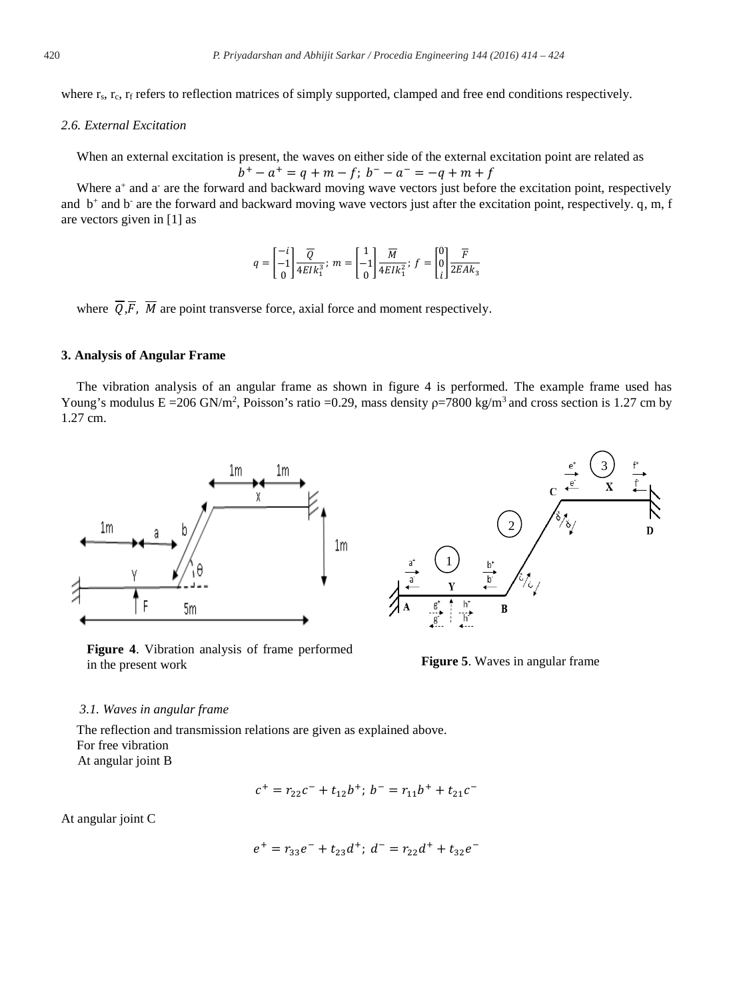where r<sub>s</sub>, r<sub>c</sub>, r<sub>f</sub> refers to reflection matrices of simply supported, clamped and free end conditions respectively.

## *2.6. External Excitation*

When an external excitation is present, the waves on either side of the external excitation point are related as  $b^+ - a^+ = q + m - f$ ;  $b^- - a^- = -q + m + f$ 

Where  $a^+$  and  $a^-$  are the forward and backward moving wave vectors just before the excitation point, respectively and  $b^+$  and  $b^-$  are the forward and backward moving wave vectors just after the excitation point, respectively. q, m, f are vectors given in [1] as

$$
q = \begin{bmatrix} -i \\ -1 \\ 0 \end{bmatrix} \frac{\overline{Q}}{4EIk_1^3}; \ m = \begin{bmatrix} 1 \\ -1 \\ 0 \end{bmatrix} \frac{\overline{M}}{4EIk_1^2}; \ f = \begin{bmatrix} 0 \\ 0 \\ i \end{bmatrix} \frac{\overline{F}}{2EAk_3}
$$

where  $\overline{Q}, \overline{F}$ ,  $\overline{M}$  are point transverse force, axial force and moment respectively.

#### **3. Analysis of Angular Frame**

The vibration analysis of an angular frame as shown in figure 4 is performed. The example frame used has Young's modulus  $E = 206$  GN/m<sup>2</sup>, Poisson's ratio =0.29, mass density  $p=7800$  kg/m<sup>3</sup> and cross section is 1.27 cm by 1.27 cm.



**Figure 4**. Vibration analysis of frame performed in the present work **Figure 5**. Waves in angular frame



#### *3.1. Waves in angular frame*

The reflection and transmission relations are given as explained above. For free vibration At angular joint B

$$
c^{+} = r_{22}c^{-} + t_{12}b^{+}; b^{-} = r_{11}b^{+} + t_{21}c^{-}
$$

At angular joint C

$$
e^+ = r_{33}e^- + t_{23}d^+; d^- = r_{22}d^+ + t_{32}e^-
$$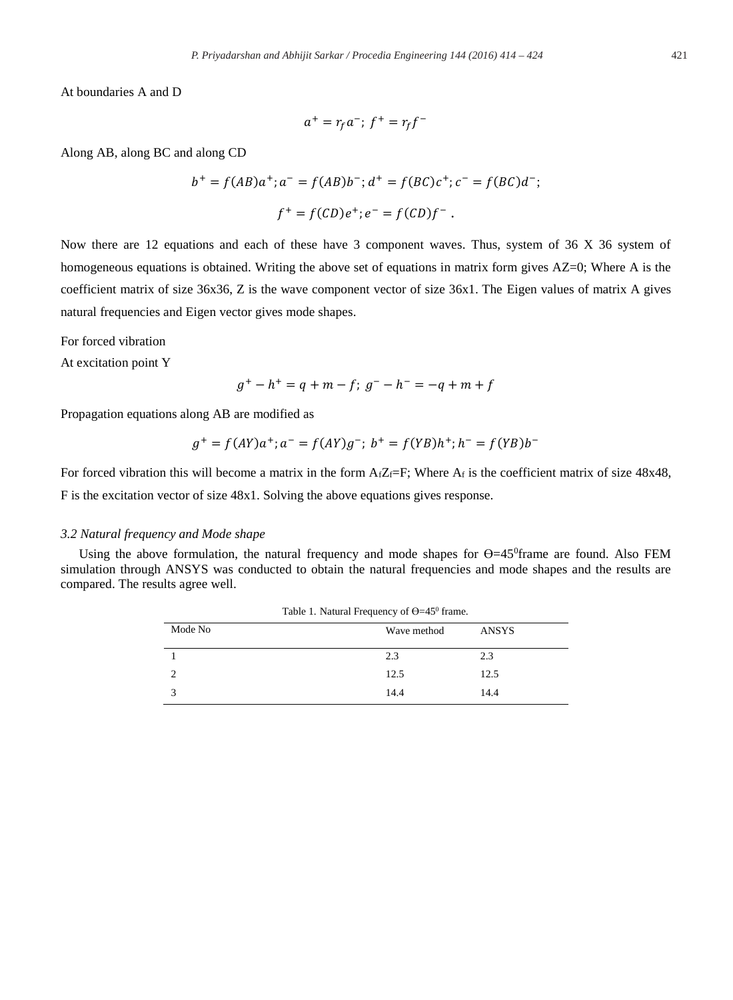At boundaries A and D

$$
a^+ = r_f a^-
$$
;  $f^+ = r_f f^-$ 

Along AB, along BC and along CD

$$
b^{+} = f(AB)a^{+}; a^{-} = f(AB)b^{-}; d^{+} = f(BC)c^{+}; c^{-} = f(BC)d^{-};
$$
  

$$
f^{+} = f(CD)e^{+}; e^{-} = f(CD)f^{-}.
$$

Now there are 12 equations and each of these have 3 component waves. Thus, system of 36 X 36 system of homogeneous equations is obtained. Writing the above set of equations in matrix form gives AZ=0; Where A is the coefficient matrix of size 36x36, Z is the wave component vector of size 36x1. The Eigen values of matrix A gives natural frequencies and Eigen vector gives mode shapes.

For forced vibration

At excitation point Y

$$
g^+ - h^+ = q + m - f; g^- - h^- = -q + m + f
$$

Propagation equations along AB are modified as

$$
g^+ = f(AY)a^+; a^- = f(AY)g^-; b^+ = f(YB)h^+; h^- = f(YB)b^-
$$

For forced vibration this will become a matrix in the form  $A_fZ_f=F$ ; Where  $A_f$  is the coefficient matrix of size 48x48, F is the excitation vector of size 48x1. Solving the above equations gives response.

#### *3.2 Natural frequency and Mode shape*

L.

Using the above formulation, the natural frequency and mode shapes for  $\Theta = 45^{\circ}$ frame are found. Also FEM simulation through ANSYS was conducted to obtain the natural frequencies and mode shapes and the results are compared. The results agree well.

| Mode No | Wave method | ANSYS |
|---------|-------------|-------|
|         | 2.3         | 2.3   |
|         | 12.5        | 12.5  |
|         | 14.4        | 14.4  |

Table 1. Natural Frequency of  $Q=450$  fr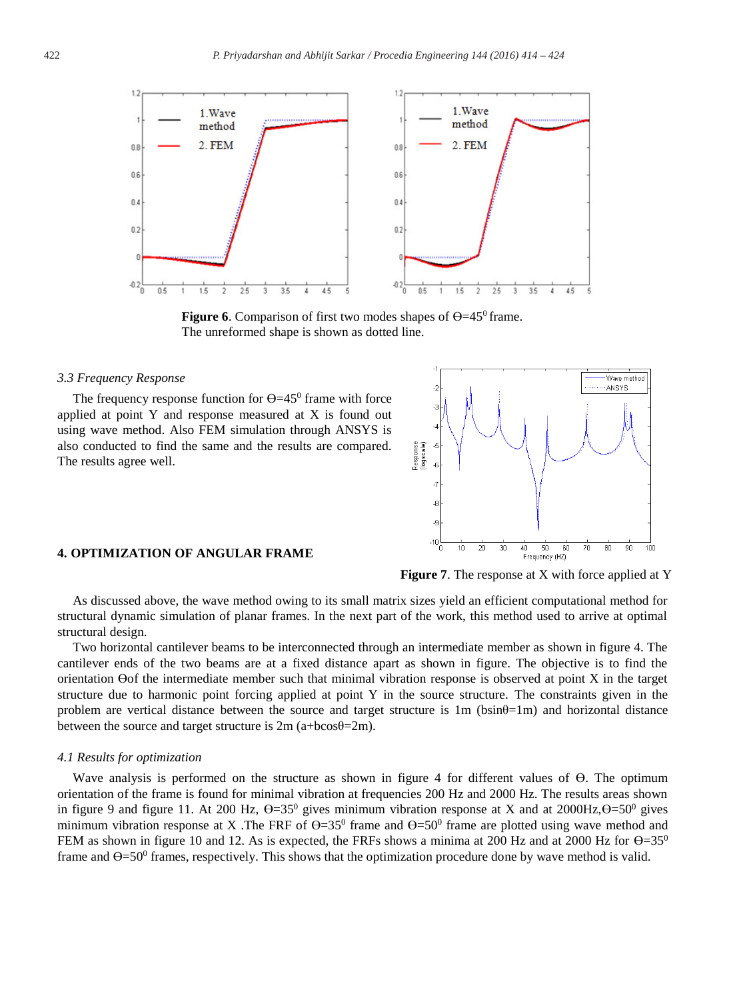

**Figure 6.** Comparison of first two modes shapes of  $\Theta = 45^\circ$  frame. The unreformed shape is shown as dotted line.

#### *3.3 Frequency Response*

The frequency response function for  $\Theta = 45^\circ$  frame with force applied at point Y and response measured at X is found out using wave method. Also FEM simulation through ANSYS is also conducted to find the same and the results are compared. The results agree well.



#### **4. OPTIMIZATION OF ANGULAR FRAME**

**Figure 7**. The response at X with force applied at Y

As discussed above, the wave method owing to its small matrix sizes yield an efficient computational method for structural dynamic simulation of planar frames. In the next part of the work, this method used to arrive at optimal structural design.

Two horizontal cantilever beams to be interconnected through an intermediate member as shown in figure 4. The cantilever ends of the two beams are at a fixed distance apart as shown in figure. The objective is to find the orientation ϴof the intermediate member such that minimal vibration response is observed at point X in the target structure due to harmonic point forcing applied at point Y in the source structure. The constraints given in the problem are vertical distance between the source and target structure is  $1m$  (bsin $\theta$ =1m) and horizontal distance between the source and target structure is 2m (a+bcosθ=2m).

#### *4.1 Results for optimization*

Wave analysis is performed on the structure as shown in figure 4 for different values of ϴ. The optimum orientation of the frame is found for minimal vibration at frequencies 200 Hz and 2000 Hz. The results areas shown in figure 9 and figure 11. At 200 Hz,  $\Theta = 35^0$  gives minimum vibration response at X and at 2000Hz, $\Theta = 50^0$  gives minimum vibration response at X. The FRF of  $\Theta = 35^{\circ}$  frame and  $\Theta = 50^{\circ}$  frame are plotted using wave method and FEM as shown in figure 10 and 12. As is expected, the FRFs shows a minima at 200 Hz and at 2000 Hz for  $\Theta$ =35<sup>0</sup> frame and  $\Theta$ =50<sup>0</sup> frames, respectively. This shows that the optimization procedure done by wave method is valid.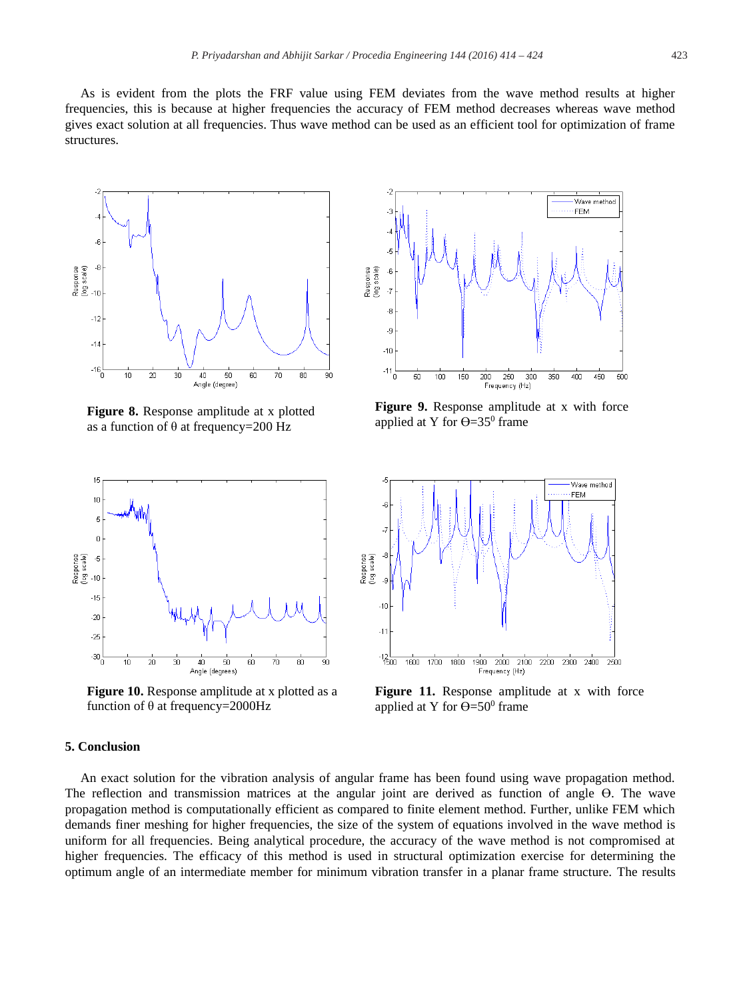As is evident from the plots the FRF value using FEM deviates from the wave method results at higher frequencies, this is because at higher frequencies the accuracy of FEM method decreases whereas wave method gives exact solution at all frequencies. Thus wave method can be used as an efficient tool for optimization of frame structures.



**Figure 8.** Response amplitude at x plotted as a function of  $\theta$  at frequency=200 Hz



**Figure 10.** Response amplitude at x plotted as a function of θ at frequency=2000Hz

# **5. Conclusion**

An exact solution for the vibration analysis of angular frame has been found using wave propagation method. The reflection and transmission matrices at the angular joint are derived as function of angle ϴ. The wave propagation method is computationally efficient as compared to finite element method. Further, unlike FEM which demands finer meshing for higher frequencies, the size of the system of equations involved in the wave method is uniform for all frequencies. Being analytical procedure, the accuracy of the wave method is not compromised at higher frequencies. The efficacy of this method is used in structural optimization exercise for determining the optimum angle of an intermediate member for minimum vibration transfer in a planar frame structure. The results



**Figure 9.** Response amplitude at x with force applied at Y for  $\Theta = 35^\circ$  frame



**Figure 11.** Response amplitude at x with force applied at Y for  $\Theta = 50^{\circ}$  frame